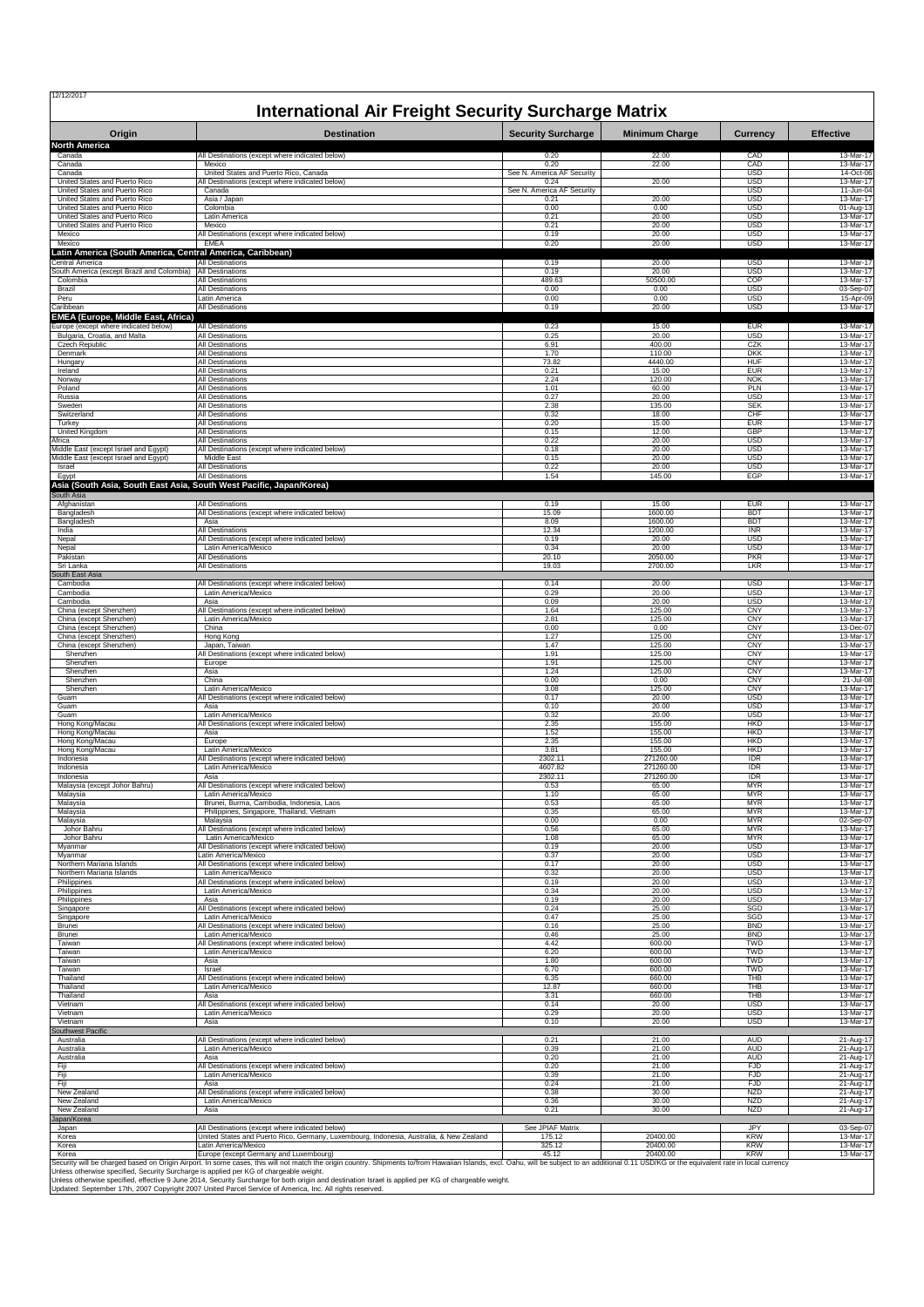| Origin                                                              | <b>International Air Freight Security Surcharge Matrix</b><br><b>Destination</b>        | <b>Security Surcharge</b>  | <b>Minimum Charge</b> | <b>Currency</b>          | <b>Effective</b>       |
|---------------------------------------------------------------------|-----------------------------------------------------------------------------------------|----------------------------|-----------------------|--------------------------|------------------------|
| <b>North America</b>                                                |                                                                                         |                            |                       |                          |                        |
| Canada                                                              | All Destinations (except where indicated below)                                         | 0.20                       | 22.00                 | CAD                      | 13-Mar-17              |
| Canada                                                              | Mexico                                                                                  | 0.20                       | 22.00                 | CAD                      | 13-Mar-17              |
| Canada                                                              | United States and Puerto Rico, Canada                                                   | See N. America AF Security | 20.00                 | <b>USD</b>               | 14-Oct-06              |
| United States and Puerto Rico                                       | All Destinations (except where indicated below)                                         | 0.24                       |                       | <b>USD</b>               | 13-Mar-17              |
| United States and Puerto Rico                                       | Canada                                                                                  | See N. America AF Security |                       | <b>USD</b>               | 11-Jun-04              |
| United States and Puerto Rico                                       | Asia / Japan                                                                            | 0.21                       | 20.00                 | <b>USD</b>               | 13-Mar-17              |
| United States and Puerto Rico                                       | Colombia                                                                                | 0.00                       | 0.00                  | <b>USD</b>               | 01-Aug-13              |
| United States and Puerto Rico                                       | Latin America                                                                           | 0.21                       | 20.00                 | <b>USD</b>               | 13-Mar-17              |
| United States and Puerto Rico                                       | Mexico                                                                                  | 0.21                       | 20.00                 | USD                      | 13-Mar-17              |
| Mexico                                                              | All Destinations (except where indicated below)<br>EMEA                                 | 0.19                       | 20.00                 | <b>USD</b>               | 13-Mar-17              |
| Mexico<br>Latin America (South America, Central America, Caribbean) |                                                                                         | 0.20                       | 20.00                 | <b>USD</b>               | 13-Mar-17              |
| Central America                                                     | <b>All Destinations</b>                                                                 | 0.19                       | 20.00                 | <b>USD</b>               | 13-Mar-17              |
| South America (except Brazil and Colombia)                          | <b>All Destinations</b>                                                                 | 0.19                       | 20.00                 | <b>USD</b>               | 13-Mar-17              |
| Colombia                                                            | <b>All Destinations</b>                                                                 | 489.63                     | 50500.00              | COP                      | 13-Mar-17              |
| Brazil                                                              | All Destinations                                                                        | 0.00                       | 0.00                  | <b>USD</b>               | 03-Sep-07              |
| Peru                                                                | Latin America                                                                           | 0.00                       | 0.00                  | <b>USD</b>               | 15-Apr-09              |
| Caribbean<br>EMEA (Europe, Middle East, Africa)                     | All Destinations                                                                        | 0.19                       | 20.00                 | <b>USD</b>               | 13-Mar-17              |
| Europe (except where indicated below)                               | <b>All Destinations</b>                                                                 | 0.23                       | 15.00                 | <b>EUR</b>               | 13-Mar-17              |
| Bulgaria, Croatia, and Malta                                        | All Destinations                                                                        | 0.25                       | 20.00                 | <b>USD</b>               | 13-Mar-17              |
| Czech Republic                                                      | <b>All Destinations</b>                                                                 | 6.91                       | 400.00                | CZK                      | 13-Mar-17              |
| Denmark                                                             | <b>All Destinations</b>                                                                 | 1.70                       | 110.00                | <b>DKK</b>               | 13-Mar-17              |
| Hungary                                                             | All Destinations                                                                        | 73.82                      | 4440.00               | HUF                      | 13-Mar-17              |
| Ireland                                                             | All Destinations                                                                        | 0.21                       | 15.00                 | <b>EUR</b>               | 13-Mar-17              |
| Norway                                                              | All Destinations                                                                        | 2.24                       | 120.00                | <b>NOK</b>               | 13-Mar-17              |
| Poland                                                              | <b>All Destinations</b>                                                                 | 1.01                       | 60.00                 | PLN                      | 13-Mar-17              |
| Russia                                                              | All Destinations                                                                        | 0.27                       | 20.00                 | <b>USD</b>               | 13-Mar-17              |
| Sweden                                                              | All Destinations                                                                        | 2.38                       | 135.00                | <b>SEK</b>               | 13-Mar-17              |
| Switzerland                                                         | All Destinations                                                                        | 0.32                       | 18.00                 | CHF                      | 13-Mar-17              |
| Turkey                                                              | <b>All Destinations</b>                                                                 | 0.20                       | 15.00                 | <b>FUR</b>               | 13-Mar-17              |
| United Kingdom                                                      | All Destinations                                                                        | 0.15                       | 12.00                 | <b>GBP</b>               | 13-Mar-17              |
| Africa                                                              | <b>All Destinations</b>                                                                 | 0.22                       | 20.00                 | <b>USD</b>               | 13-Mar-17              |
| Middle East (except Israel and Egypt)                               | All Destinations (except where indicated below)                                         | 0.18                       | 20.00                 | <b>USD</b>               | 13-Mar-17              |
| Middle East (except Israel and Egypt)                               | Middle East                                                                             | 0.15                       | 20.00                 | USD                      | 13-Mar-17              |
| Israel                                                              | <b>All Destinations</b>                                                                 | 0.22                       | 20.00                 | <b>USD</b>               | 13-Mar-17              |
| Egypt                                                               | <b>All Destinations</b>                                                                 | 1.54                       | 145.00                | EGP                      | 13-Mar-17              |
| South Asia                                                          | Asia (South Asia, South East Asia, South West Pacific, Japan/Korea)                     |                            |                       |                          |                        |
| Afghanistan                                                         | All Destinations                                                                        | 0.19                       | 15.00                 | <b>EUR</b>               | 13-Mar-17              |
| Bangladesh                                                          | All Destinations (except where indicated below)                                         | 15.09                      | 1600.00               | <b>BDT</b>               | 13-Mar-17              |
| Bangladesh                                                          | Asia                                                                                    | 8.09                       | 1600.00               | <b>BDT</b>               | 13-Mar-17              |
| India                                                               | All Destinations                                                                        | 12.34                      | 1200.00               | <b>INR</b>               | 13-Mar-17              |
| Nepal                                                               | All Destinations (except where indicated below)                                         | 0.19                       | 20.00                 | <b>USD</b>               | 13-Mar-17              |
| Nepal                                                               | Latin America/Mexico                                                                    | 0.34                       | 20.00                 | <b>USD</b>               | 13-Mar-17              |
| Pakistan                                                            | All Destinations                                                                        | 20.10                      | 2050.00               | <b>PKR</b>               | 13-Mar-17              |
| Sri Lanka<br>South East Asia                                        | All Destinations                                                                        | 19.03                      | 2700.00               | LKR                      | 13-Mar-17              |
| Cambodia                                                            | All Destinations (except where indicated below)                                         | 0.14                       | 20.00                 | <b>USD</b>               | 13-Mar-17              |
| Cambodia                                                            | Latin America/Mexico                                                                    | 0.29                       | 20.00                 | <b>USD</b>               | 13-Mar-17              |
| Cambodia                                                            | Asia                                                                                    | 0.09                       | 20.00                 | <b>USD</b>               | 13-Mar-17              |
| China (except Shenzhen)                                             | All Destinations (except where indicated below)                                         | 1.64                       | 125.00                | <b>CNY</b>               | 13-Mar-17              |
| China (except Shenzhen)                                             | Latin America/Mexico                                                                    | 2.81                       | 125.00                | <b>CNY</b>               | 13-Mar-17              |
| China (except Shenzhen)                                             | China                                                                                   | 0.00                       | 0.00                  | <b>CNY</b>               | 13-Dec-07              |
| China (except Shenzhen)                                             | Hong Kong                                                                               | 1.27                       | 125.00                | CNY                      | 13-Mar-17              |
| China (except Shenzhen)                                             | Japan, Taiwan                                                                           | 1.47                       | 125.00                | <b>CNY</b>               | 13-Mar-17              |
| Shenzhen                                                            | All Destinations (except where indicated below)                                         | 1.91                       | 125.00                | <b>CNY</b>               | 13-Mar-17              |
| Shenzhen                                                            | Europe                                                                                  | 1.91                       | 125.00                | CNY                      | 13-Mar-17              |
| Shenzhen                                                            | Asia                                                                                    | 1.24                       | 125.00                | CNY                      | 13-Mar-17              |
| Shenzhen                                                            | China                                                                                   | 0.00                       | 0.00                  | <b>CNY</b>               | 21-Jul-08              |
| Shenzhen                                                            | Latin America/Mexico                                                                    | 3.08                       | 125.00                | <b>CNY</b>               | 13-Mar-17              |
| Guam                                                                | All Destinations (except where indicated below)                                         | 0.17                       | 20.00                 | USD                      | 13-Mar-17              |
| Guam                                                                | Asia                                                                                    | 0.10                       | 20.00                 | <b>USD</b>               | 13-Mar-17              |
| Guam                                                                | Latin America/Mexico                                                                    | 0.32                       | 20.00                 | <b>USD</b>               | 13-Mar-17              |
| Hong Kong/Macau                                                     | Il Destinations (except where indicated below)                                          | 2.35                       | 155.00                | <b>HKD</b>               | 13-Mar-17              |
| Hong Kong/Macau                                                     | Asia                                                                                    | 1.52                       | 155.00                | <b>HKD</b>               | 13-Mar-17              |
| Hong Kong/Macau                                                     | Europe                                                                                  | 2.35                       | 155.00                | <b>HKD</b>               | 13-Mar-17              |
| Hong Kong/Macau                                                     | Latin America/Mexico<br>All Destinations (except where indicated below)                 | 3.81                       | 155.00                | <b>HKD</b>               | 13-Mar-17              |
| Indonesia                                                           | Latin America/Mexico                                                                    | 2302.11                    | 271260.00             | <b>IDR</b>               | 13-Mar-17              |
| Indonesia                                                           |                                                                                         | 4607.82                    | 271260.00             | <b>IDR</b>               | 13-Mar-17              |
| Indonesia                                                           | Asia                                                                                    | 2302.11                    | 271260.00             | <b>IDR</b>               | 13-Mar-17              |
| Malaysia (except Johor Bahru)                                       | All Destinations (except where indicated below)                                         | 0.53                       | 65.00                 | MYR                      | 13-Mar-17              |
| Malaysia                                                            | Latin America/Mexico                                                                    | 1.10                       | 65.00                 | <b>MYR</b>               | 13-Mar-17              |
| Malaysia                                                            | Brunei, Burma, Cambodia, Indonesia, Laos                                                | 0.53                       | 65.00                 | <b>MYR</b>               | 13-Mar-17              |
| Malaysia                                                            | Philippines, Singapore, Thailand, Vietnam                                               | 0.35                       | 65.00                 | <b>MYR</b>               | 13-Mar-17              |
| Malaysia                                                            | Malaysia                                                                                | 0.00                       | 0.00                  | <b>MYR</b>               | 02-Sep-07              |
| Johor Bahru                                                         | All Destinations (except where indicated below)                                         | 0.56                       | 65.00                 | <b>MYR</b>               | 13-Mar-17              |
| Johor Bahru                                                         | Latin America/Mexico                                                                    | 1.08                       | 65.00                 | <b>MYR</b>               | 13-Mar-17              |
| Myanmar                                                             | All Destinations (except where indicated below)                                         | 0.19                       | 20.00                 | <b>USD</b>               | 13-Mar-17              |
| Myanmar                                                             | Latin America/Mexico                                                                    | 0.37                       | 20.00                 | <b>USD</b>               | 13-Mar-17              |
| Northern Mariana Islands                                            | All Destinations (except where indicated below)                                         | 0.17                       | 20.00                 | <b>USD</b>               | 13-Mar-17              |
| Northern Mariana Islands                                            | Latin America/Mexico                                                                    | 0.32                       | 20.00                 | <b>USD</b>               | 13-Mar-17              |
| Philippines                                                         | All Destinations (except where indicated below)                                         | 0.19                       | 20.00                 | <b>USD</b>               | 13-Mar-17              |
| Philippines                                                         | Latin America/Mexico                                                                    | 0.34                       | 20.00                 | <b>USD</b>               | 13-Mar-17              |
| Philippines                                                         | Asia                                                                                    | 0.19                       | 20.00                 | <b>USD</b>               | 13-Mar-17              |
| Singapore                                                           | All Destinations (except where indicated below)                                         | 0.24                       | 25.00                 | SGD                      | 13-Mar-17              |
| Singapore                                                           | Latin America/Mexico                                                                    | 0.47                       | 25.00                 | SGD                      | 13-Mar-17              |
| Brunei                                                              | All Destinations (except where indicated below)                                         | 0.16                       | 25.00                 | <b>BND</b>               | 13-Mar-17              |
| Brunei                                                              | Latin America/Mexico                                                                    | 0.46                       | 25.00                 | <b>BND</b>               | 13-Mar-17              |
| Taiwan                                                              | All Destinations (except where indicated below)                                         | 4.42                       | 600.00                | <b>TWD</b>               | 13-Mar-17              |
| Taiwan                                                              | Latin America/Mexico                                                                    | 6.20                       | 600.00                | <b>TWD</b>               | 13-Mar-17              |
| Taiwan                                                              | Asia                                                                                    | 1.80                       | 600.00                | <b>TWD</b>               | 13-Mar-17              |
| Taiwan                                                              | Israel                                                                                  | 6.70                       | 600.00                | <b>TWD</b>               | 13-Mar-17              |
| Thailand                                                            | All Destinations (except where indicated below)                                         | 6.35                       | 660.00                | THB                      | 13-Mar-17              |
| Thailand                                                            | Latin America/Mexico                                                                    | 12.87                      | 660.00                | THB                      | 13-Mar-17              |
| Thailand                                                            | Asia                                                                                    | 3.31                       | 660.00                | <b>THB</b>               | 13-Mar-17              |
| Vietnam                                                             | All Destinations (except where indicated below)                                         | 0.14                       | 20.00                 | <b>USD</b>               | 13-Mar-17              |
| Vietnam                                                             | Latin America/Mexico                                                                    | 0.29                       | 20.00                 | <b>USD</b>               | 13-Mar-17              |
| Vietnam                                                             | Asia                                                                                    | 0.10                       | 20.00                 | <b>USD</b>               | 13-Mar-17              |
| Southwest Pacific<br>Australia                                      | All Destinations (except where indicated below)                                         | 0.21                       | 21.00                 | <b>AUD</b>               | 21-Aug-17              |
| Australia                                                           | Latin America/Mexico                                                                    | 0.39                       | 21.00                 | <b>AUD</b>               | 21-Aug-17              |
| Australia                                                           | Asia                                                                                    | 0.20                       | 21.00                 | <b>AUD</b>               | 21-Aug-17              |
| Fiji                                                                | All Destinations (except where indicated below)<br>Latin America/Mexico                 | 0.20<br>0.39               | 21.00<br>21.00        | <b>FJD</b><br><b>FJD</b> | 21-Aug-17              |
| Fiji<br>Fiji                                                        | Asia                                                                                    | 0.24                       | 21.00                 | <b>FJD</b>               | 21-Aug-17<br>21-Aug-17 |
| New Zealand                                                         | All Destinations (except where indicated below)                                         | 0.38                       | 30.00                 | <b>NZD</b>               | 21-Aug-17              |
| New Zealand                                                         | Latin America/Mexico                                                                    | 0.36                       | 30.00                 | <b>NZD</b>               | 21-Aug-17              |
| New Zealand<br>Japan/Korea                                          | Asia                                                                                    | 0.21                       | 30.00                 | NZD                      | 21-Aug-17              |
| Japan                                                               | All Destinations (except where indicated below)                                         | See JPIAF Matrix           |                       | JPY                      | 03-Sep-07              |
| Korea                                                               | United States and Puerto Rico, Germany, Luxembourg, Indonesia, Australia, & New Zealand | 175.12                     | 20400.00              | <b>KRW</b>               | 13-Mar-17              |
| Korea                                                               | Latin America/Mexico                                                                    | 325.12                     | 20400.00              | <b>KRW</b>               | 13-Mar-17              |
|                                                                     |                                                                                         |                            |                       |                          |                        |

Unless otherwise specified, Security Surcharge is applied per KG of chargeable weight.<br>Unless otherwise specified, effective 9 June 2014, Security Surcharge for both origin and destination Israel is applied per KG of charg

Updated: September 17th, 2007 Copyright 2007 United Parcel Service of America, Inc. All rights reserved.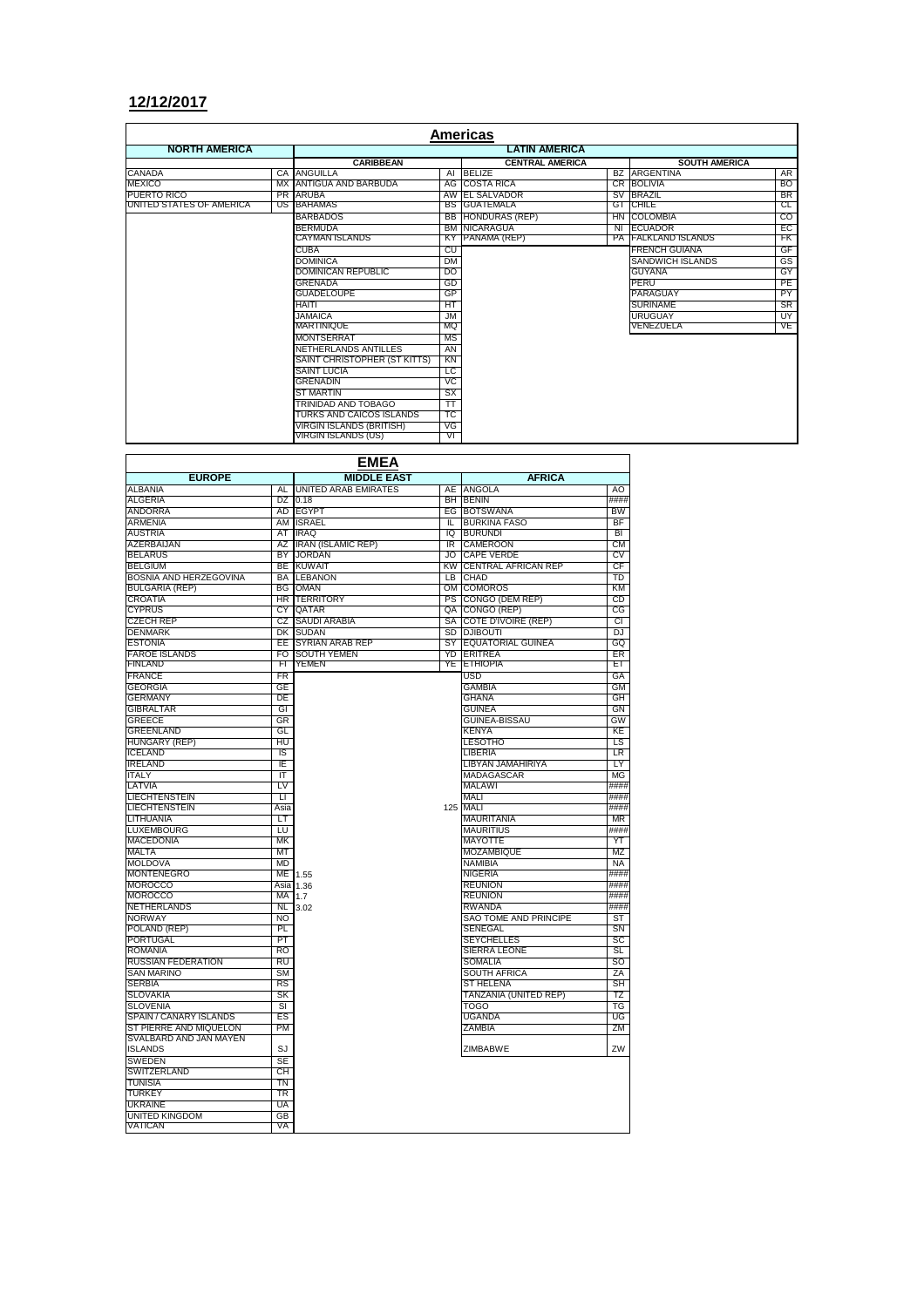## **12/12/2017**

| Americas                 |    |                                 |           |                          |  |                            |                |  |  |
|--------------------------|----|---------------------------------|-----------|--------------------------|--|----------------------------|----------------|--|--|
| <b>NORTH AMERICA</b>     |    | <b>LATIN AMERICA</b>            |           |                          |  |                            |                |  |  |
|                          |    | <b>CARIBBEAN</b>                |           | <b>CENTRAL AMERICA</b>   |  | <b>SOUTH AMERICA</b>       |                |  |  |
| CANADA                   |    | <b>CA ANGUILLA</b>              |           | AI BELIZE                |  | <b>BZ ARGENTINA</b>        | AR             |  |  |
| <b>MEXICO</b>            |    | MX ANTIGUA AND BARBUDA          |           | <b>AG ICOSTA RICA</b>    |  | CR BOLIVIA                 | <b>BO</b>      |  |  |
| PUERTO RICO              |    | PR ARUBA                        |           | AW EL SALVADOR           |  | SV BRAZIL                  | <b>BR</b>      |  |  |
| UNITED STATES OF AMERICA | US | <b>BAHAMAS</b>                  |           | <b>BS GUATEMALA</b>      |  | <b>GT CHILE</b>            | CL             |  |  |
|                          |    | <b>BARBADOS</b>                 |           | <b>BB</b> HONDURAS (REP) |  | HN COLOMBIA                | $\overline{c}$ |  |  |
|                          |    | <b>BERMUDA</b>                  | <b>BM</b> | NICARAGUA                |  | NI ECUADOR                 | EC             |  |  |
|                          |    | <b>CAYMAN ISLANDS</b>           |           | KY PANAMA (REP)          |  | <b>PA FALKLAND ISLANDS</b> | ŦК             |  |  |
|                          |    | <b>CUBA</b>                     | CU        |                          |  | <b>FRENCH GUIANA</b>       | GF             |  |  |
|                          |    | <b>DOMINICA</b>                 | <b>DM</b> |                          |  | SANDWICH ISLANDS           | GS             |  |  |
|                          |    | DOMINICAN REPUBLIC              | DO        |                          |  | <b>GUYANA</b>              | GY             |  |  |
|                          |    | <b>GRENADA</b>                  | GD        |                          |  | PERU                       | PE             |  |  |
|                          |    | <b>GUADELOUPE</b>               | GP        |                          |  | PARAGUAY                   | PY             |  |  |
|                          |    | <b>HAITI</b>                    | HT        |                          |  | <b>SURINAME</b>            | <b>SR</b>      |  |  |
|                          |    | <b>JAMAICA</b>                  | <b>JM</b> |                          |  | URUGUAY                    | UY             |  |  |
|                          |    | MARTINIQUE                      | MQ        |                          |  | VENEZUELA                  | VE             |  |  |
|                          |    | <b>MONTSERRAT</b>               | <b>MS</b> |                          |  |                            |                |  |  |
|                          |    | NETHERLANDS ANTILLES            | AN        |                          |  |                            |                |  |  |
|                          |    | SAINT CHRISTOPHER (ST KITTS)    | KN        |                          |  |                            |                |  |  |
|                          |    | <b>SAINT LUCIA</b>              | ГC        |                          |  |                            |                |  |  |
|                          |    | <b>GRENADIN</b>                 | VC        |                          |  |                            |                |  |  |
|                          |    | <b>ST MARTIN</b>                | <b>SX</b> |                          |  |                            |                |  |  |
|                          |    | TRINIDAD AND TOBAGO             | TΤ        |                          |  |                            |                |  |  |
|                          |    | TURKS AND CAICOS ISLANDS        | ТC        |                          |  |                            |                |  |  |
|                          |    | <b>VIRGIN ISLANDS (BRITISH)</b> | VG        |                          |  |                            |                |  |  |
|                          |    | VIRGIN ISLANDS (US)             | VГ        |                          |  |                            |                |  |  |

÷,

| <b>EMEA</b>                              |                    |                             |           |                            |           |  |  |  |
|------------------------------------------|--------------------|-----------------------------|-----------|----------------------------|-----------|--|--|--|
| <b>EUROPE</b>                            | <b>MIDDLE EAST</b> | <b>AFRICA</b>               |           |                            |           |  |  |  |
| <b>ALBANIA</b>                           | AL                 | <b>UNITED ARAB EMIRATES</b> | AE        | <b>ANGOLA</b>              | AO        |  |  |  |
| <b>ALGERIA</b>                           |                    | DZ 0.18                     |           | <b>BH BENIN</b>            | ####      |  |  |  |
| <b>ANDORRA</b>                           | AD                 | <b>EGYPT</b>                |           | EG BOTSWANA                | <b>BW</b> |  |  |  |
| <b>ARMENIA</b>                           |                    | AM ISRAEL                   | π         | <b>BURKINA FASO</b>        | BF        |  |  |  |
| <b>AUSTRIA</b>                           | AT                 | <b>IRAQ</b>                 | 10        | <b>BURUNDI</b>             | BI        |  |  |  |
| AZERBAIJAN                               |                    | AZ IRAN (ISLAMIC REP)       | IR.       | <b>CAMEROON</b>            | СM        |  |  |  |
| <b>BELARUS</b>                           | BY                 | <b>JORDAN</b>               | JO.       | <b>CAPE VERDE</b>          | CV        |  |  |  |
| <b>BELGIUM</b>                           | BE                 | <b>KUWAIT</b>               | <b>KW</b> | <b>CENTRAL AFRICAN REP</b> | CF        |  |  |  |
| BOSNIA AND HERZEGOVINA                   |                    | <b>BA LEBANON</b>           | LB        | CHAD                       | TD        |  |  |  |
| <b>BULGARIA (REP)</b>                    | <b>BG</b>          | <b>OMAN</b>                 | OM        | <b>COMOROS</b>             | KM        |  |  |  |
| <b>CROATIA</b>                           |                    | HR TERRITORY                | PS        | CONGO (DEM REP)            | CD        |  |  |  |
| <b>CYPRUS</b>                            | CY                 | QATAR                       | QA        | CONGO (REP)                | CG        |  |  |  |
| <b>CZECH REP</b>                         |                    | CZ SAUDI ARABIA             | SA        | COTE D'IVOIRE (REP)        | CI        |  |  |  |
| <b>DENMARK</b>                           |                    | DK SUDAN                    | SD        | <b>DJIBOUTI</b>            | DJ        |  |  |  |
| <b>ESTONIA</b>                           | EE                 | <b>SYRIAN ARAB REP</b>      | SY        | <b>EQUATORIAL GUINEA</b>   | GQ        |  |  |  |
| <b>FAROE ISLANDS</b>                     | FO.                | <b>SOUTH YEMEN</b>          | YD        | <b>ERITREA</b>             | ER        |  |  |  |
| <b>FINLAND</b>                           | FI.                | YEMEN                       | YE        | <b>ETHIOPIA</b>            | ET        |  |  |  |
| <b>FRANCE</b>                            | FR                 |                             |           | <b>USD</b>                 | GA        |  |  |  |
| <b>GEORGIA</b>                           | GE                 |                             |           | <b>GAMBIA</b>              | GM        |  |  |  |
| <b>GERMANY</b>                           | DE                 |                             |           | <b>GHANA</b>               | GH        |  |  |  |
| <b>GIBRALTAR</b>                         | GI                 |                             |           | <b>GUINEA</b>              | GN        |  |  |  |
| <b>GREECE</b>                            | GR                 |                             |           | <b>GUINEA-BISSAU</b>       | GW        |  |  |  |
| <b>GREENLAND</b>                         | GL                 |                             |           | <b>KENYA</b>               | KE        |  |  |  |
| <b>HUNGARY (REP)</b>                     | HU                 |                             |           | <b>LESOTHO</b>             | LS        |  |  |  |
| <b>ICELAND</b>                           | IS                 |                             |           | LIBERIA                    | LR        |  |  |  |
| <b>IRELAND</b>                           | ΙE                 |                             |           | LIBYAN JAMAHIRIYA          | LY        |  |  |  |
| <b>ITALY</b>                             | π                  |                             |           | <b>MADAGASCAR</b>          | <b>MG</b> |  |  |  |
| LATVIA                                   | LV                 |                             |           | <b>MALAWI</b>              | ####      |  |  |  |
| <b>LIECHTENSTEIN</b>                     | п                  |                             |           | <b>MALI</b>                | ####      |  |  |  |
| <b>LIECHTENSTEIN</b>                     | Asia               |                             |           | 125 MALI                   | ####      |  |  |  |
| LITHUANIA                                | LT                 |                             |           | <b>MAURITANIA</b>          | <b>MR</b> |  |  |  |
| <b>LUXEMBOURG</b>                        | LU                 |                             |           | <b>MAURITIUS</b>           | ####      |  |  |  |
| <b>MACEDONIA</b>                         | MK                 |                             |           | MAYOTTE                    | YT        |  |  |  |
| <b>MALTA</b>                             | MT                 |                             |           | <b>MOZAMBIQUE</b>          | MZ        |  |  |  |
| <b>MOLDOVA</b>                           | <b>MD</b>          |                             |           | NAMIBIA                    | <b>NA</b> |  |  |  |
| <b>MONTENEGRO</b>                        |                    | ME 1.55                     |           | <b>NIGERIA</b>             | ####      |  |  |  |
| <b>MOROCCO</b>                           |                    | Asia 1.36                   |           | <b>REUNION</b>             | ####      |  |  |  |
| <b>MOROCCO</b>                           | MA 1.7             |                             |           | <b>REUNION</b>             | ####      |  |  |  |
| <b>NETHERLANDS</b>                       | NL.                | 3.02                        |           | <b>RWANDA</b>              | ####      |  |  |  |
| <b>NORWAY</b>                            | NO.                |                             |           | SAO TOME AND PRINCIPE      | ST        |  |  |  |
| POLAND (REP)                             | PL                 |                             |           | <b>SENEGAL</b>             | <b>SN</b> |  |  |  |
| <b>PORTUGAL</b>                          | PT                 |                             |           | <b>SEYCHELLES</b>          | SC        |  |  |  |
| <b>ROMANIA</b>                           | R <sub>O</sub>     |                             |           | <b>SIERRA LEONE</b>        | <b>SL</b> |  |  |  |
| <b>RUSSIAN FEDERATION</b>                | <b>RU</b>          |                             |           | <b>SOMALIA</b>             | SO        |  |  |  |
| <b>SAN MARINO</b>                        | <b>SM</b>          |                             |           | <b>SOUTH AFRICA</b>        | ZA        |  |  |  |
| <b>SERBIA</b>                            | <b>RS</b>          |                             |           | <b>ST HELENA</b>           | <b>SH</b> |  |  |  |
| <b>SLOVAKIA</b>                          | SK                 |                             |           | TANZANIA (UNITED REP)      | TZ        |  |  |  |
| <b>SLOVENIA</b>                          | SI                 |                             |           | TOGO                       | TG        |  |  |  |
| SPAIN / CANARY ISLANDS                   | ES                 |                             |           | <b>UGANDA</b>              | UG        |  |  |  |
| ST PIERRE AND MIQUELON                   | <b>PM</b>          |                             |           | <b>ZAMBIA</b>              | ZM        |  |  |  |
| SVALBARD AND JAN MAYEN<br><b>ISLANDS</b> | SJ                 |                             |           | ZIMBABWE                   | ZW        |  |  |  |
| <b>SWEDEN</b>                            | <b>SE</b>          |                             |           |                            |           |  |  |  |
| SWITZERLAND                              | CH                 |                             |           |                            |           |  |  |  |
| <b>TUNISIA</b>                           | TN                 |                             |           |                            |           |  |  |  |
| <b>TURKEY</b>                            | TR                 |                             |           |                            |           |  |  |  |
| <b>UKRAINE</b>                           | UA                 |                             |           |                            |           |  |  |  |
| <b>UNITED KINGDOM</b>                    | GB                 |                             |           |                            |           |  |  |  |
| VATICAN                                  | VA                 |                             |           |                            |           |  |  |  |
|                                          |                    |                             |           |                            |           |  |  |  |